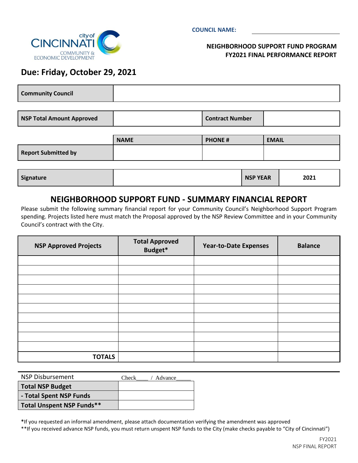



## **NEIGHBORHOOD SUPPORT FUND PROGRAM FY2021 FINAL PERFORMANCE REPORT**

## **Due: Friday, October 29, 2021**

| <b>Community Council</b>  |                        |  |
|---------------------------|------------------------|--|
|                           |                        |  |
| NSP Total Amount Approved | <b>Contract Number</b> |  |

|                            | <b>NAME</b> | <b>PHONE#</b> | <b>EMAIL</b> |
|----------------------------|-------------|---------------|--------------|
| <b>Report Submitted by</b> |             |               |              |

| <b>NSP YEAR</b><br>Signature | 2021 |
|------------------------------|------|
|------------------------------|------|

## **NEIGHBORHOOD SUPPORT FUND - SUMMARY FINANCIAL REPORT**

Please submit the following summary financial report for your Community Council's Neighborhood Support Program spending. Projects listed here must match the Proposal approved by the NSP Review Committee and in your Community Council's contract with the City.

| <b>NSP Approved Projects</b> | <b>Total Approved</b><br>Budget* | <b>Year-to-Date Expenses</b> | <b>Balance</b> |
|------------------------------|----------------------------------|------------------------------|----------------|
|                              |                                  |                              |                |
|                              |                                  |                              |                |
|                              |                                  |                              |                |
|                              |                                  |                              |                |
|                              |                                  |                              |                |
|                              |                                  |                              |                |
|                              |                                  |                              |                |
|                              |                                  |                              |                |
|                              |                                  |                              |                |
|                              |                                  |                              |                |
| <b>TOTALS</b>                |                                  |                              |                |

| <b>NSP Disbursement</b>          | Advance<br>Check. |
|----------------------------------|-------------------|
| <b>Total NSP Budget</b>          |                   |
| - Total Spent NSP Funds          |                   |
| <b>Total Unspent NSP Funds**</b> |                   |

**\***If you requested an informal amendment, please attach documentation verifying the amendment was approved

\*\*If you received advance NSP funds, you must return unspent NSP funds to the City (make checks payable to "City of Cincinnati")